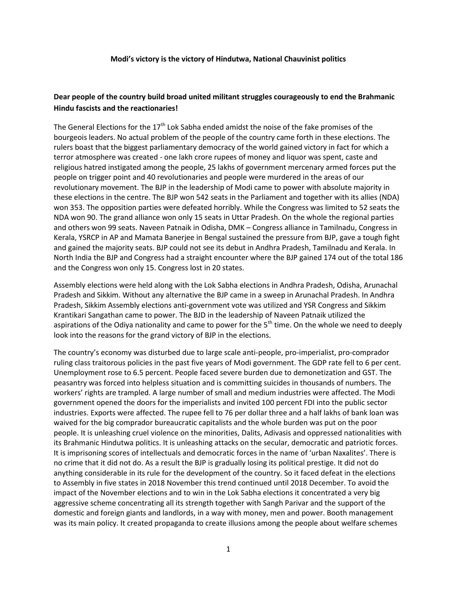## **Modi's victory is the victory of Hindutwa, National Chauvinist politics**

## **Dear people of the country build broad united militant struggles courageously to end the Brahmanic Hindu fascists and the reactionaries!**

The General Elections for the 17<sup>th</sup> Lok Sabha ended amidst the noise of the fake promises of the bourgeois leaders. No actual problem of the people of the country came forth in these elections. The rulers boast that the biggest parliamentary democracy of the world gained victory in fact for which a terror atmosphere was created - one lakh crore rupees of money and liquor was spent, caste and religious hatred instigated among the people, 25 lakhs of government mercenary armed forces put the people on trigger point and 40 revolutionaries and people were murdered in the areas of our revolutionary movement. The BJP in the leadership of Modi came to power with absolute majority in these elections in the centre. The BJP won 542 seats in the Parliament and together with its allies (NDA) won 353. The opposition parties were defeated horribly. While the Congress was limited to 52 seats the NDA won 90. The grand alliance won only 15 seats in Uttar Pradesh. On the whole the regional parties and others won 99 seats. Naveen Patnaik in Odisha, DMK – Congress alliance in Tamilnadu, Congress in Kerala, YSRCP in AP and Mamata Banerjee in Bengal sustained the pressure from BJP, gave a tough fight and gained the majority seats. BJP could not see its debut in Andhra Pradesh, Tamilnadu and Kerala. In North India the BJP and Congress had a straight encounter where the BJP gained 174 out of the total 186 and the Congress won only 15. Congress lost in 20 states.

Assembly elections were held along with the Lok Sabha elections in Andhra Pradesh, Odisha, Arunachal Pradesh and Sikkim. Without any alternative the BJP came in a sweep in Arunachal Pradesh. In Andhra Pradesh, Sikkim Assembly elections anti-government vote was utilized and YSR Congress and Sikkim Krantikari Sangathan came to power. The BJD in the leadership of Naveen Patnaik utilized the aspirations of the Odiya nationality and came to power for the  $5<sup>th</sup>$  time. On the whole we need to deeply look into the reasons for the grand victory of BJP in the elections.

The country's economy was disturbed due to large scale anti-people, pro-imperialist, pro-comprador ruling class traitorous policies in the past five years of Modi government. The GDP rate fell to 6 per cent. Unemployment rose to 6.5 percent. People faced severe burden due to demonetization and GST. The peasantry was forced into helpless situation and is committing suicides in thousands of numbers. The workers' rights are trampled. A large number of small and medium industries were affected. The Modi government opened the doors for the imperialists and invited 100 percent FDI into the public sector industries. Exports were affected. The rupee fell to 76 per dollar three and a half lakhs of bank loan was waived for the big comprador bureaucratic capitalists and the whole burden was put on the poor people. It is unleashing cruel violence on the minorities, Dalits, Adivasis and oppressed nationalities with its Brahmanic Hindutwa politics. It is unleashing attacks on the secular, democratic and patriotic forces. It is imprisoning scores of intellectuals and democratic forces in the name of 'urban Naxalites'. There is no crime that it did not do. As a result the BJP is gradually losing its political prestige. It did not do anything considerable in its rule for the development of the country. So it faced defeat in the elections to Assembly in five states in 2018 November this trend continued until 2018 December. To avoid the impact of the November elections and to win in the Lok Sabha elections it concentrated a very big aggressive scheme concentrating all its strength together with Sangh Parivar and the support of the domestic and foreign giants and landlords, in a way with money, men and power. Booth management was its main policy. It created propaganda to create illusions among the people about welfare schemes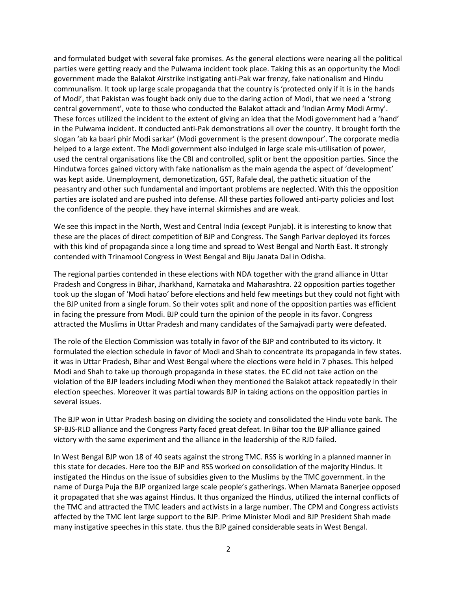and formulated budget with several fake promises. As the general elections were nearing all the political parties were getting ready and the Pulwama incident took place. Taking this as an opportunity the Modi government made the Balakot Airstrike instigating anti-Pak war frenzy, fake nationalism and Hindu communalism. It took up large scale propaganda that the country is 'protected only if it is in the hands of Modi', that Pakistan was fought back only due to the daring action of Modi, that we need a 'strong central government', vote to those who conducted the Balakot attack and 'Indian Army Modi Army'. These forces utilized the incident to the extent of giving an idea that the Modi government had a 'hand' in the Pulwama incident. It conducted anti-Pak demonstrations all over the country. It brought forth the slogan 'ab ka baari phir Modi sarkar' (Modi government is the present downpour'. The corporate media helped to a large extent. The Modi government also indulged in large scale mis-utilisation of power, used the central organisations like the CBI and controlled, split or bent the opposition parties. Since the Hindutwa forces gained victory with fake nationalism as the main agenda the aspect of 'development' was kept aside. Unemployment, demonetization, GST, Rafale deal, the pathetic situation of the peasantry and other such fundamental and important problems are neglected. With this the opposition parties are isolated and are pushed into defense. All these parties followed anti-party policies and lost the confidence of the people. they have internal skirmishes and are weak.

We see this impact in the North, West and Central India (except Punjab). it is interesting to know that these are the places of direct competition of BJP and Congress. The Sangh Parivar deployed its forces with this kind of propaganda since a long time and spread to West Bengal and North East. It strongly contended with Trinamool Congress in West Bengal and Biju Janata Dal in Odisha.

The regional parties contended in these elections with NDA together with the grand alliance in Uttar Pradesh and Congress in Bihar, Jharkhand, Karnataka and Maharashtra. 22 opposition parties together took up the slogan of 'Modi hatao' before elections and held few meetings but they could not fight with the BJP united from a single forum. So their votes split and none of the opposition parties was efficient in facing the pressure from Modi. BJP could turn the opinion of the people in its favor. Congress attracted the Muslims in Uttar Pradesh and many candidates of the Samajvadi party were defeated.

The role of the Election Commission was totally in favor of the BJP and contributed to its victory. It formulated the election schedule in favor of Modi and Shah to concentrate its propaganda in few states. it was in Uttar Pradesh, Bihar and West Bengal where the elections were held in 7 phases. This helped Modi and Shah to take up thorough propaganda in these states. the EC did not take action on the violation of the BJP leaders including Modi when they mentioned the Balakot attack repeatedly in their election speeches. Moreover it was partial towards BJP in taking actions on the opposition parties in several issues.

The BJP won in Uttar Pradesh basing on dividing the society and consolidated the Hindu vote bank. The SP-BJS-RLD alliance and the Congress Party faced great defeat. In Bihar too the BJP alliance gained victory with the same experiment and the alliance in the leadership of the RJD failed.

In West Bengal BJP won 18 of 40 seats against the strong TMC. RSS is working in a planned manner in this state for decades. Here too the BJP and RSS worked on consolidation of the majority Hindus. It instigated the Hindus on the issue of subsidies given to the Muslims by the TMC government. in the name of Durga Puja the BJP organized large scale people's gatherings. When Mamata Banerjee opposed it propagated that she was against Hindus. It thus organized the Hindus, utilized the internal conflicts of the TMC and attracted the TMC leaders and activists in a large number. The CPM and Congress activists affected by the TMC lent large support to the BJP. Prime Minister Modi and BJP President Shah made many instigative speeches in this state. thus the BJP gained considerable seats in West Bengal.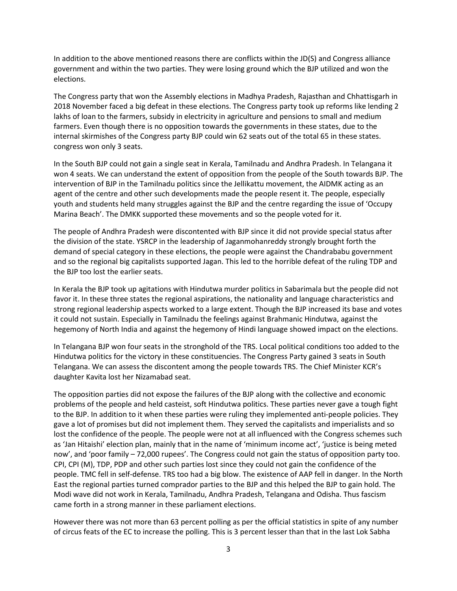In addition to the above mentioned reasons there are conflicts within the JD(S) and Congress alliance government and within the two parties. They were losing ground which the BJP utilized and won the elections.

The Congress party that won the Assembly elections in Madhya Pradesh, Rajasthan and Chhattisgarh in 2018 November faced a big defeat in these elections. The Congress party took up reforms like lending 2 lakhs of loan to the farmers, subsidy in electricity in agriculture and pensions to small and medium farmers. Even though there is no opposition towards the governments in these states, due to the internal skirmishes of the Congress party BJP could win 62 seats out of the total 65 in these states. congress won only 3 seats.

In the South BJP could not gain a single seat in Kerala, Tamilnadu and Andhra Pradesh. In Telangana it won 4 seats. We can understand the extent of opposition from the people of the South towards BJP. The intervention of BJP in the Tamilnadu politics since the Jellikattu movement, the AIDMK acting as an agent of the centre and other such developments made the people resent it. The people, especially youth and students held many struggles against the BJP and the centre regarding the issue of 'Occupy Marina Beach'. The DMKK supported these movements and so the people voted for it.

The people of Andhra Pradesh were discontented with BJP since it did not provide special status after the division of the state. YSRCP in the leadership of Jaganmohanreddy strongly brought forth the demand of special category in these elections, the people were against the Chandrababu government and so the regional big capitalists supported Jagan. This led to the horrible defeat of the ruling TDP and the BJP too lost the earlier seats.

In Kerala the BJP took up agitations with Hindutwa murder politics in Sabarimala but the people did not favor it. In these three states the regional aspirations, the nationality and language characteristics and strong regional leadership aspects worked to a large extent. Though the BJP increased its base and votes it could not sustain. Especially in Tamilnadu the feelings against Brahmanic Hindutwa, against the hegemony of North India and against the hegemony of Hindi language showed impact on the elections.

In Telangana BJP won four seats in the stronghold of the TRS. Local political conditions too added to the Hindutwa politics for the victory in these constituencies. The Congress Party gained 3 seats in South Telangana. We can assess the discontent among the people towards TRS. The Chief Minister KCR's daughter Kavita lost her Nizamabad seat.

The opposition parties did not expose the failures of the BJP along with the collective and economic problems of the people and held casteist, soft Hindutwa politics. These parties never gave a tough fight to the BJP. In addition to it when these parties were ruling they implemented anti-people policies. They gave a lot of promises but did not implement them. They served the capitalists and imperialists and so lost the confidence of the people. The people were not at all influenced with the Congress schemes such as 'Jan Hitaishi' election plan, mainly that in the name of 'minimum income act', 'justice is being meted now', and 'poor family – 72,000 rupees'. The Congress could not gain the status of opposition party too. CPI, CPI (M), TDP, PDP and other such parties lost since they could not gain the confidence of the people. TMC fell in self-defense. TRS too had a big blow. The existence of AAP fell in danger. In the North East the regional parties turned comprador parties to the BJP and this helped the BJP to gain hold. The Modi wave did not work in Kerala, Tamilnadu, Andhra Pradesh, Telangana and Odisha. Thus fascism came forth in a strong manner in these parliament elections.

However there was not more than 63 percent polling as per the official statistics in spite of any number of circus feats of the EC to increase the polling. This is 3 percent lesser than that in the last Lok Sabha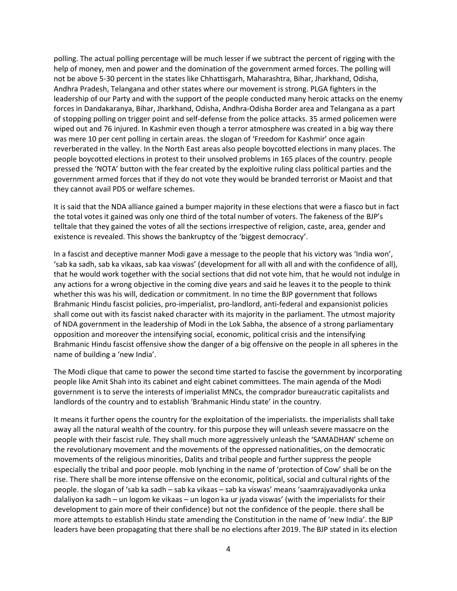polling. The actual polling percentage will be much lesser if we subtract the percent of rigging with the help of money, men and power and the domination of the government armed forces. The polling will not be above 5-30 percent in the states like Chhattisgarh, Maharashtra, Bihar, Jharkhand, Odisha, Andhra Pradesh, Telangana and other states where our movement is strong. PLGA fighters in the leadership of our Party and with the support of the people conducted many heroic attacks on the enemy forces in Dandakaranya, Bihar, Jharkhand, Odisha, Andhra-Odisha Border area and Telangana as a part of stopping polling on trigger point and self-defense from the police attacks. 35 armed policemen were wiped out and 76 injured. In Kashmir even though a terror atmosphere was created in a big way there was mere 10 per cent polling in certain areas. the slogan of 'Freedom for Kashmir' once again reverberated in the valley. In the North East areas also people boycotted elections in many places. The people boycotted elections in protest to their unsolved problems in 165 places of the country. people pressed the 'NOTA' button with the fear created by the exploitive ruling class political parties and the government armed forces that if they do not vote they would be branded terrorist or Maoist and that they cannot avail PDS or welfare schemes.

It is said that the NDA alliance gained a bumper majority in these elections that were a fiasco but in fact the total votes it gained was only one third of the total number of voters. The fakeness of the BJP's telltale that they gained the votes of all the sections irrespective of religion, caste, area, gender and existence is revealed. This shows the bankruptcy of the 'biggest democracy'.

In a fascist and deceptive manner Modi gave a message to the people that his victory was 'India won', 'sab ka sadh, sab ka vikaas, sab kaa viswas' (development for all with all and with the confidence of all), that he would work together with the social sections that did not vote him, that he would not indulge in any actions for a wrong objective in the coming dive years and said he leaves it to the people to think whether this was his will, dedication or commitment. In no time the BJP government that follows Brahmanic Hindu fascist policies, pro-imperialist, pro-landlord, anti-federal and expansionist policies shall come out with its fascist naked character with its majority in the parliament. The utmost majority of NDA government in the leadership of Modi in the Lok Sabha, the absence of a strong parliamentary opposition and moreover the intensifying social, economic, political crisis and the intensifying Brahmanic Hindu fascist offensive show the danger of a big offensive on the people in all spheres in the name of building a 'new India'.

The Modi clique that came to power the second time started to fascise the government by incorporating people like Amit Shah into its cabinet and eight cabinet committees. The main agenda of the Modi government is to serve the interests of imperialist MNCs, the comprador bureaucratic capitalists and landlords of the country and to establish 'Brahmanic Hindu state' in the country.

It means it further opens the country for the exploitation of the imperialists. the imperialists shall take away all the natural wealth of the country. for this purpose they will unleash severe massacre on the people with their fascist rule. They shall much more aggressively unleash the 'SAMADHAN' scheme on the revolutionary movement and the movements of the oppressed nationalities, on the democratic movements of the religious minorities, Dalits and tribal people and further suppress the people especially the tribal and poor people. mob lynching in the name of 'protection of Cow' shall be on the rise. There shall be more intense offensive on the economic, political, social and cultural rights of the people. the slogan of 'sab ka sadh – sab ka vikaas – sab ka viswas' means 'saamrajyavadiyonka unka dalaliyon ka sadh – un logom ke vikaas – un logon ka ur jyada viswas' (with the imperialists for their development to gain more of their confidence) but not the confidence of the people. there shall be more attempts to establish Hindu state amending the Constitution in the name of 'new India'. the BJP leaders have been propagating that there shall be no elections after 2019. The BJP stated in its election